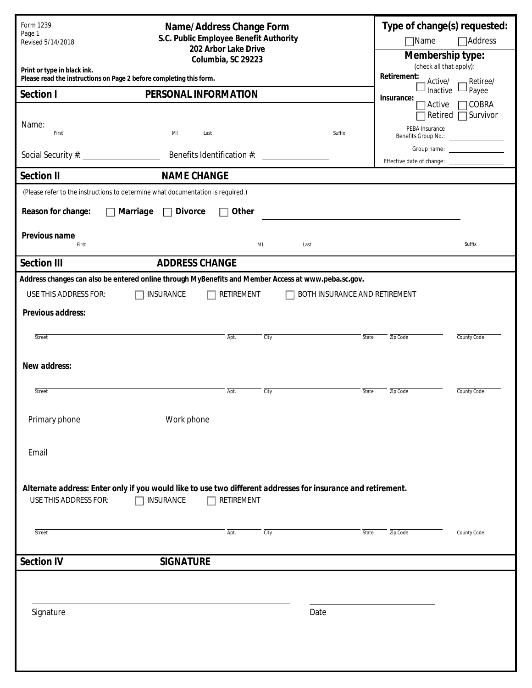| Form 1239<br>Page 1<br>Revised 5/14/2018                                                           | Name/Address Change Form<br>S.C. Public Employee Benefit Authority<br>202 Arbor Lake Drive                                       |                                                                                                                |                |      |                               |                                             | Type of change(s) requested:<br>$\Box$ Name<br>$\Box$ Address |                                    |  |  |
|----------------------------------------------------------------------------------------------------|----------------------------------------------------------------------------------------------------------------------------------|----------------------------------------------------------------------------------------------------------------|----------------|------|-------------------------------|---------------------------------------------|---------------------------------------------------------------|------------------------------------|--|--|
| Columbia, SC 29223                                                                                 |                                                                                                                                  |                                                                                                                |                |      |                               | Membership type:<br>(check all that apply): |                                                               |                                    |  |  |
| Print or type in black ink.<br>Please read the instructions on Page 2 before completing this form. | Retirement:<br>Active/<br>Retiree/                                                                                               |                                                                                                                |                |      |                               |                                             |                                                               |                                    |  |  |
| Section I<br>PERSONAL INFORMATION                                                                  |                                                                                                                                  |                                                                                                                |                |      |                               |                                             | Inactive<br>Insurance:                                        | Payee                              |  |  |
| Name:                                                                                              |                                                                                                                                  |                                                                                                                |                |      |                               |                                             | Active<br>PEBA Insurance                                      | $\Box$ COBRA<br>Retired □ Survivor |  |  |
| First                                                                                              | $\overline{M}$                                                                                                                   | Last                                                                                                           |                |      | Suffix                        |                                             |                                                               |                                    |  |  |
| Social Security #: \\sqrt{\math}\$1}                                                               | Benefits Identification #:                                                                                                       |                                                                                                                |                |      |                               |                                             | Group name: ___________________<br>Effective date of change:  |                                    |  |  |
| <b>Section II</b>                                                                                  | <b>NAME CHANGE</b>                                                                                                               |                                                                                                                |                |      |                               |                                             |                                                               |                                    |  |  |
|                                                                                                    | (Please refer to the instructions to determine what documentation is required.)                                                  |                                                                                                                |                |      |                               |                                             |                                                               |                                    |  |  |
| Reason for change:                                                                                 | Marriage<br><b>Divorce</b>                                                                                                       | Other                                                                                                          |                |      |                               |                                             |                                                               |                                    |  |  |
| Previous name<br>First                                                                             | the control of the control of the control of the control of the control of the control of                                        |                                                                                                                | $\overline{M}$ | Last |                               |                                             |                                                               | Suffix                             |  |  |
| <b>Section III</b>                                                                                 | <b>ADDRESS CHANGE</b>                                                                                                            |                                                                                                                |                |      |                               |                                             |                                                               |                                    |  |  |
|                                                                                                    | Address changes can also be entered online through MyBenefits and Member Access at www.peba.sc.gov.                              |                                                                                                                |                |      |                               |                                             |                                                               |                                    |  |  |
| <b>USE THIS ADDRESS FOR:</b>                                                                       | <b>INSURANCE</b>                                                                                                                 | RETIREMENT                                                                                                     |                |      | BOTH INSURANCE AND RETIREMENT |                                             |                                                               |                                    |  |  |
| Previous address:                                                                                  |                                                                                                                                  |                                                                                                                |                |      |                               |                                             |                                                               |                                    |  |  |
| Street                                                                                             |                                                                                                                                  | Apt.                                                                                                           | City           |      | State                         | Zip Code                                    |                                                               | County Code                        |  |  |
| New address:                                                                                       |                                                                                                                                  |                                                                                                                |                |      |                               |                                             |                                                               |                                    |  |  |
| Street                                                                                             |                                                                                                                                  | Apt.                                                                                                           | City           |      | State                         | Zip Code                                    |                                                               | County Code                        |  |  |
| Primary phone                                                                                      |                                                                                                                                  | Work phone with the state of the state of the state of the state of the state of the state of the state of the |                |      |                               |                                             |                                                               |                                    |  |  |
| Email                                                                                              |                                                                                                                                  |                                                                                                                |                |      |                               |                                             |                                                               |                                    |  |  |
|                                                                                                    |                                                                                                                                  |                                                                                                                |                |      |                               |                                             |                                                               |                                    |  |  |
| USE THIS ADDRESS FOR:                                                                              | Alternate address: Enter only if you would like to use two different addresses for insurance and retirement.<br><b>INSURANCE</b> | RETIREMENT                                                                                                     |                |      |                               |                                             |                                                               |                                    |  |  |
| Street                                                                                             |                                                                                                                                  | Apt.                                                                                                           | City           |      | State                         | Zip Code                                    |                                                               |                                    |  |  |
|                                                                                                    |                                                                                                                                  |                                                                                                                |                |      |                               |                                             |                                                               | County Code                        |  |  |
| <b>Section IV</b>                                                                                  | <b>SIGNATURE</b>                                                                                                                 |                                                                                                                |                |      |                               |                                             |                                                               |                                    |  |  |
|                                                                                                    |                                                                                                                                  |                                                                                                                |                |      |                               |                                             |                                                               |                                    |  |  |
| Signature                                                                                          |                                                                                                                                  |                                                                                                                |                | Date |                               |                                             |                                                               |                                    |  |  |
|                                                                                                    |                                                                                                                                  |                                                                                                                |                |      |                               |                                             |                                                               |                                    |  |  |
|                                                                                                    |                                                                                                                                  |                                                                                                                |                |      |                               |                                             |                                                               |                                    |  |  |
|                                                                                                    |                                                                                                                                  |                                                                                                                |                |      |                               |                                             |                                                               |                                    |  |  |